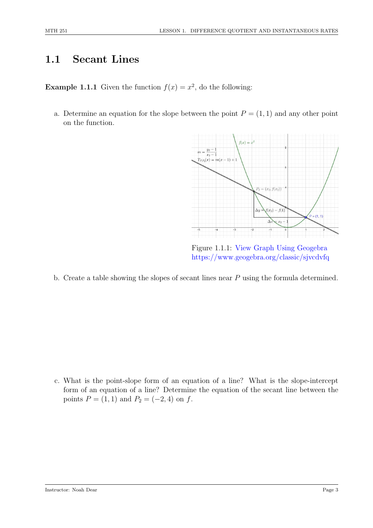## 1.1 Secant Lines

**Example 1.1.1** Given the function  $f(x) = x^2$ , do the following:

a. Determine an equation for the slope between the point  $P = (1, 1)$  and any other point on the function.



Figure 1.1.1: [View Graph Using Geogebra](https://www.geogebra.org/classic/sjvcdvfq) <https://www.geogebra.org/classic/sjvcdvfq>

b. Create a table showing the slopes of secant lines near P using the formula determined.

c. What is the point-slope form of an equation of a line? What is the slope-intercept form of an equation of a line? Determine the equation of the secant line between the points  $P = (1, 1)$  and  $P_2 = (-2, 4)$  on f.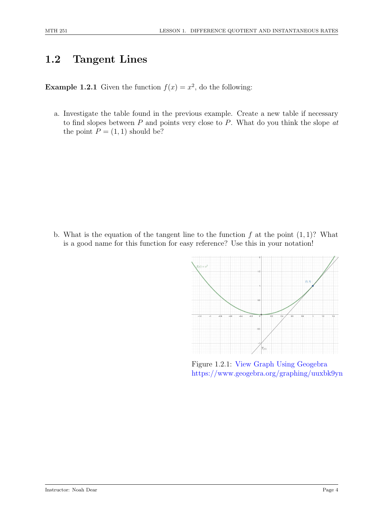## 1.2 Tangent Lines

**Example 1.2.1** Given the function  $f(x) = x^2$ , do the following:

a. Investigate the table found in the previous example. Create a new table if necessary to find slopes between  $P$  and points very close to  $P$ . What do you think the slope  $at$ the point  $P = (1, 1)$  should be?

b. What is the equation of the tangent line to the function  $f$  at the point  $(1, 1)$ ? What is a good name for this function for easy reference? Use this in your notation!



Figure 1.2.1: [View Graph Using Geogebra](https://www.geogebra.org/graphing/uuxbk9yn) <https://www.geogebra.org/graphing/uuxbk9yn>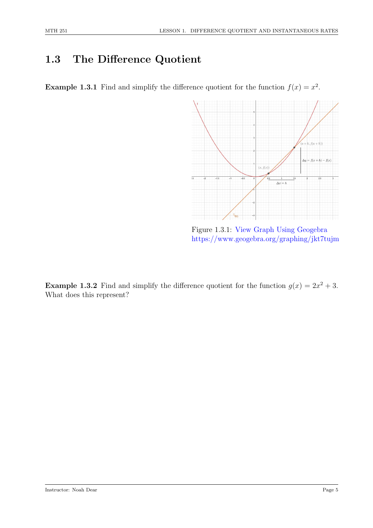## 1.3 The Difference Quotient

**Example 1.3.1** Find and simplify the difference quotient for the function  $f(x) = x^2$ .



Figure 1.3.1: [View Graph Using Geogebra](https://www.geogebra.org/graphing/jkt7tujm) <https://www.geogebra.org/graphing/jkt7tujm>

**Example 1.3.2** Find and simplify the difference quotient for the function  $g(x) = 2x^2 + 3$ . What does this represent?